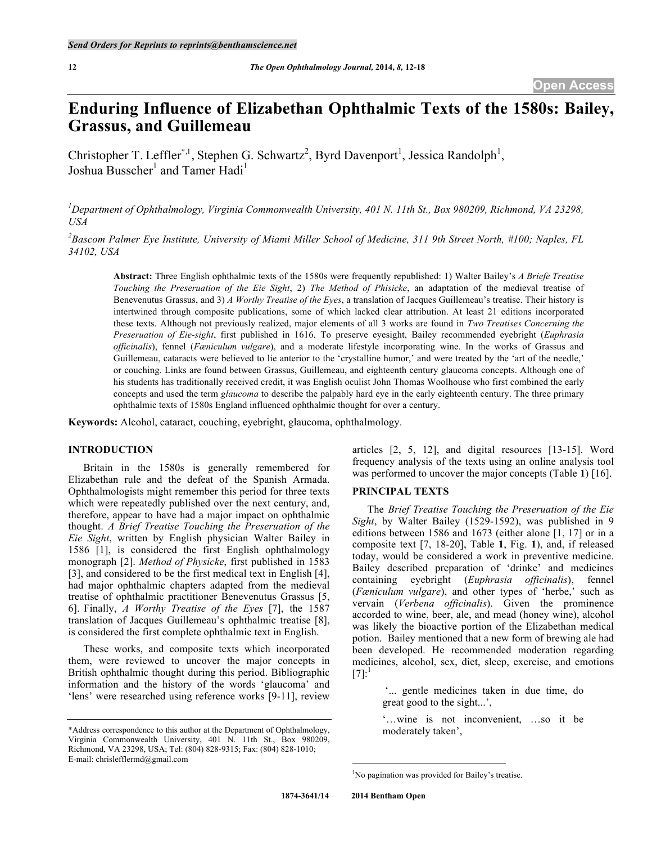# **Enduring Influence of Elizabethan Ophthalmic Texts of the 1580s: Bailey, Grassus, and Guillemeau**

Christopher T. Leffler<sup>\*,1</sup>, Stephen G. Schwartz<sup>2</sup>, Byrd Davenport<sup>1</sup>, Jessica Randolph<sup>1</sup>, Joshua Busscher<sup>1</sup> and Tamer Hadi<sup>1</sup>

<sup>1</sup>Department of Ophthalmology, Virginia Commonwealth University, 401 N. 11th St., Box 980209, Richmond, VA 23298, *USA*

*2 Bascom Palmer Eye Institute, University of Miami Miller School of Medicine, 311 9th Street North, #100; Naples, FL 34102, USA*

**Abstract:** Three English ophthalmic texts of the 1580s were frequently republished: 1) Walter Bailey's *A Briefe Treatise Touching the Preseruation of the Eie Sight*, 2) *The Method of Phisicke*, an adaptation of the medieval treatise of Benevenutus Grassus, and 3) *A Worthy Treatise of the Eyes*, a translation of Jacques Guillemeau's treatise. Their history is intertwined through composite publications, some of which lacked clear attribution. At least 21 editions incorporated these texts. Although not previously realized, major elements of all 3 works are found in *Two Treatises Concerning the Preseruation of Eie-sight*, first published in 1616. To preserve eyesight, Bailey recommended eyebright (*Euphrasia officinalis*), fennel (*Fæniculum vulgare*), and a moderate lifestyle incorporating wine. In the works of Grassus and Guillemeau, cataracts were believed to lie anterior to the 'crystalline humor,' and were treated by the 'art of the needle,' or couching. Links are found between Grassus, Guillemeau, and eighteenth century glaucoma concepts. Although one of his students has traditionally received credit, it was English oculist John Thomas Woolhouse who first combined the early concepts and used the term *glaucoma* to describe the palpably hard eye in the early eighteenth century. The three primary ophthalmic texts of 1580s England influenced ophthalmic thought for over a century.

**Keywords:** Alcohol, cataract, couching, eyebright, glaucoma, ophthalmology.

# **INTRODUCTION**

Britain in the 1580s is generally remembered for Elizabethan rule and the defeat of the Spanish Armada. Ophthalmologists might remember this period for three texts which were repeatedly published over the next century, and, therefore, appear to have had a major impact on ophthalmic thought. *A Brief Treatise Touching the Preseruation of the Eie Sight*, written by English physician Walter Bailey in 1586 [1], is considered the first English ophthalmology monograph [2]. *Method of Physicke*, first published in 1583 [3], and considered to be the first medical text in English [4], had major ophthalmic chapters adapted from the medieval treatise of ophthalmic practitioner Benevenutus Grassus [5, 6]. Finally, *A Worthy Treatise of the Eyes* [7], the 1587 translation of Jacques Guillemeau's ophthalmic treatise [8], is considered the first complete ophthalmic text in English.

These works, and composite texts which incorporated them, were reviewed to uncover the major concepts in British ophthalmic thought during this period. Bibliographic information and the history of the words 'glaucoma' and 'lens' were researched using reference works [9-11], review

articles [2, 5, 12], and digital resources [13-15]. Word frequency analysis of the texts using an online analysis tool was performed to uncover the major concepts (Table **1**) [16].

# **PRINCIPAL TEXTS**

The *Brief Treatise Touching the Preseruation of the Eie Sight*, by Walter Bailey (1529-1592), was published in 9 editions between 1586 and 1673 (either alone [1, 17] or in a composite text [7, 18-20], Table **1**, Fig. **1**), and, if released today, would be considered a work in preventive medicine. Bailey described preparation of 'drinke' and medicines containing eyebright (*Euphrasia officinalis*), fennel (*Fæniculum vulgare*), and other types of 'herbe,' such as vervain (*Verbena officinalis*). Given the prominence accorded to wine, beer, ale, and mead (honey wine), alcohol was likely the bioactive portion of the Elizabethan medical potion. Bailey mentioned that a new form of brewing ale had been developed. He recommended moderation regarding medicines, alcohol, sex, diet, sleep, exercise, and emotions  $[7]$ :<sup>1</sup>

> '... gentle medicines taken in due time, do great good to the sight...',

'…wine is not inconvenient, …so it be moderately taken',

<sup>\*</sup>Address correspondence to this author at the Department of Ophthalmology, Virginia Commonwealth University, 401 N. 11th St., Box 980209, Richmond, VA 23298, USA; Tel: (804) 828-9315; Fax: (804) 828-1010; E-mail: chrislefflermd@gmail.com

 $\frac{1}{1}$ <sup>1</sup>No pagination was provided for Bailey's treatise.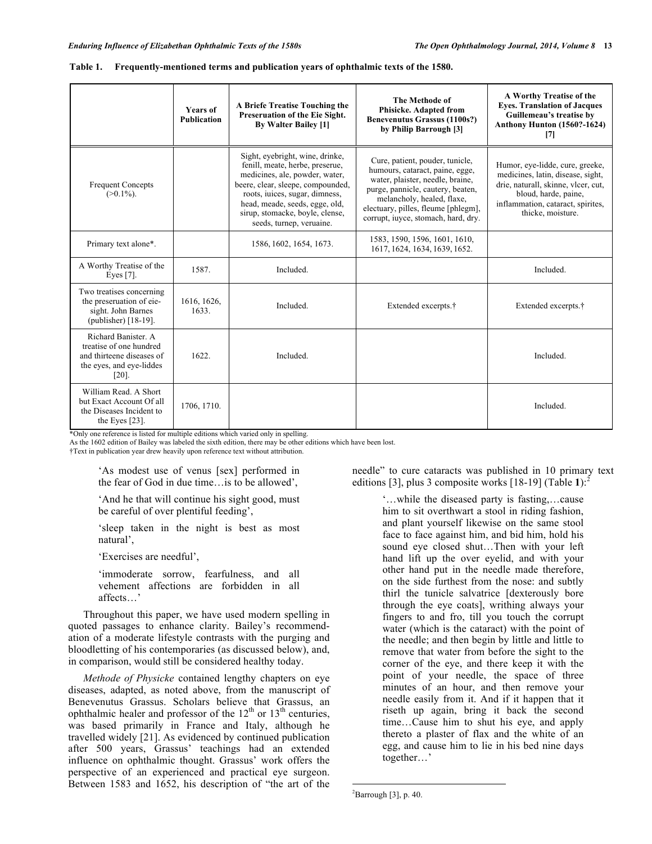|                                                                                                                     | <b>Years of</b><br><b>Publication</b> | A Briefe Treatise Touching the<br>Preseruation of the Eie Sight.<br><b>By Walter Bailey [1]</b>                                                                                                                                                                              | The Methode of<br><b>Phisicke. Adapted from</b><br><b>Benevenutus Grassus (1100s?)</b><br>by Philip Barrough [3]                                                                                                                                        | A Worthy Treatise of the<br><b>Eyes. Translation of Jacques</b><br>Guillemeau's treatise by<br><b>Anthony Hunton (1560?-1624)</b><br>$[7]$                                                    |
|---------------------------------------------------------------------------------------------------------------------|---------------------------------------|------------------------------------------------------------------------------------------------------------------------------------------------------------------------------------------------------------------------------------------------------------------------------|---------------------------------------------------------------------------------------------------------------------------------------------------------------------------------------------------------------------------------------------------------|-----------------------------------------------------------------------------------------------------------------------------------------------------------------------------------------------|
| <b>Frequent Concepts</b><br>$(>0.1\%)$ .                                                                            |                                       | Sight, eyebright, wine, drinke,<br>fenill, meate, herbe, preserue,<br>medicines, ale, powder, water,<br>beere, clear, sleepe, compounded,<br>roots, iuices, sugar, dimness,<br>head, meade, seeds, egge, old,<br>sirup, stomacke, boyle, clense,<br>seeds, turnep, veruaine. | Cure, patient, pouder, tunicle,<br>humours, cataract, paine, egge,<br>water, plaister, needle, braine,<br>purge, pannicle, cautery, beaten,<br>melancholy, healed, flaxe,<br>electuary, pilles, fleume [phlegm],<br>corrupt, iuvee, stomach, hard, dry. | Humor, eye-lidde, cure, greeke,<br>medicines, latin, disease, sight,<br>drie, naturall, skinne, vlcer, cut,<br>bloud, harde, paine,<br>inflammation, cataract, spirites,<br>thicke, moisture. |
| Primary text alone*.                                                                                                |                                       | 1586, 1602, 1654, 1673.                                                                                                                                                                                                                                                      | 1583, 1590, 1596, 1601, 1610,<br>1617, 1624, 1634, 1639, 1652.                                                                                                                                                                                          |                                                                                                                                                                                               |
| A Worthy Treatise of the<br>Eyes $[7]$ .                                                                            | 1587.                                 | Included.                                                                                                                                                                                                                                                                    |                                                                                                                                                                                                                                                         | Included.                                                                                                                                                                                     |
| Two treatises concerning<br>the preseruation of eie-<br>sight. John Barnes<br>(publisher) $[18-19]$ .               | 1616, 1626,<br>1633.                  | Included.                                                                                                                                                                                                                                                                    | Extended excerpts. <sup>†</sup>                                                                                                                                                                                                                         | Extended excerpts.†                                                                                                                                                                           |
| Richard Banister. A<br>treatise of one hundred<br>and thirteene diseases of<br>the eyes, and eye-liddes<br>$[20]$ . | 1622.                                 | Included.                                                                                                                                                                                                                                                                    |                                                                                                                                                                                                                                                         | Included.                                                                                                                                                                                     |
| William Read. A Short<br>but Exact Account Of all<br>the Diseases Incident to<br>the Eyes $[23]$ .                  | 1706, 1710.                           |                                                                                                                                                                                                                                                                              |                                                                                                                                                                                                                                                         | Included.                                                                                                                                                                                     |

|  | Table 1. Frequently-mentioned terms and publication years of ophthalmic texts of the 1580. |  |
|--|--------------------------------------------------------------------------------------------|--|
|  |                                                                                            |  |

\*Only one reference is listed for multiple editions which varied only in spelling.

As the 1602 edition of Bailey was labeled the sixth edition, there may be other editions which have been lost.

†Text in publication year drew heavily upon reference text without attribution.

'As modest use of venus [sex] performed in the fear of God in due time…is to be allowed',

'And he that will continue his sight good, must be careful of over plentiful feeding',

'sleep taken in the night is best as most natural',

'Exercises are needful',

'immoderate sorrow, fearfulness, and all vehement affections are forbidden in all affects…'

Throughout this paper, we have used modern spelling in quoted passages to enhance clarity. Bailey's recommendation of a moderate lifestyle contrasts with the purging and bloodletting of his contemporaries (as discussed below), and, in comparison, would still be considered healthy today.

*Methode of Physicke* contained lengthy chapters on eye diseases, adapted, as noted above, from the manuscript of Benevenutus Grassus. Scholars believe that Grassus, an ophthalmic healer and professor of the  $12<sup>th</sup>$  or  $13<sup>th</sup>$  centuries, was based primarily in France and Italy, although he travelled widely [21]. As evidenced by continued publication after 500 years, Grassus' teachings had an extended influence on ophthalmic thought. Grassus' work offers the perspective of an experienced and practical eye surgeon. Between 1583 and 1652, his description of "the art of the

needle" to cure cataracts was published in 10 primary text editions [3], plus 3 composite works [18-19] (Table 1):<sup>2</sup>

> '…while the diseased party is fasting,…cause him to sit overthwart a stool in riding fashion, and plant yourself likewise on the same stool face to face against him, and bid him, hold his sound eye closed shut…Then with your left hand lift up the over eyelid, and with your other hand put in the needle made therefore, on the side furthest from the nose: and subtly thirl the tunicle salvatrice [dexterously bore through the eye coats], writhing always your fingers to and fro, till you touch the corrupt water (which is the cataract) with the point of the needle; and then begin by little and little to remove that water from before the sight to the corner of the eye, and there keep it with the point of your needle, the space of three minutes of an hour, and then remove your needle easily from it. And if it happen that it riseth up again, bring it back the second time…Cause him to shut his eye, and apply thereto a plaster of flax and the white of an egg, and cause him to lie in his bed nine days together…'

 $\frac{1}{2}$  ${}^{2}$ Barrough [3], p. 40.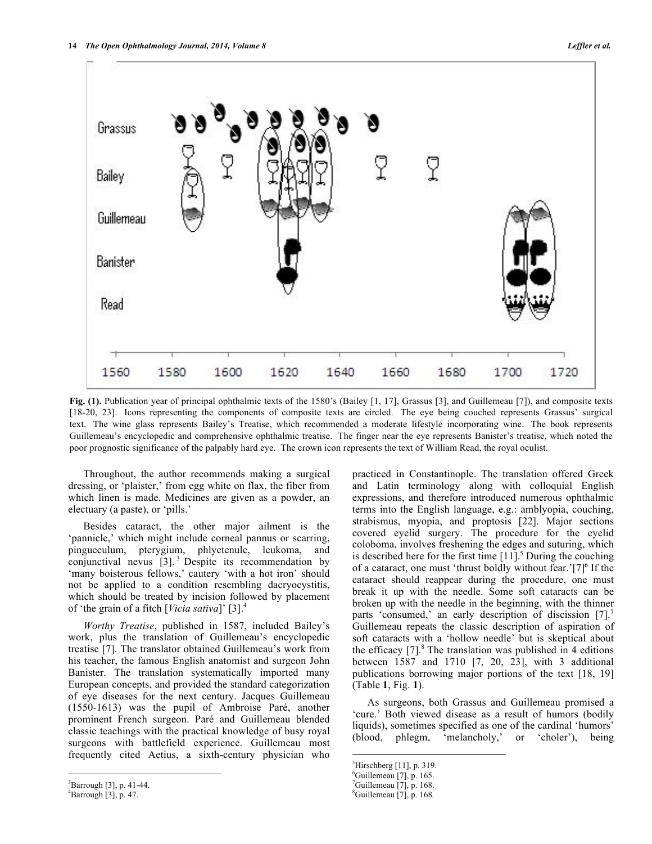

**Fig. (1).** Publication year of principal ophthalmic texts of the 1580's (Bailey [1, 17], Grassus [3], and Guillemeau [7]), and composite texts [18-20, 23]. Icons representing the components of composite texts are circled. The eye being couched represents Grassus' surgical text. The wine glass represents Bailey's Treatise, which recommended a moderate lifestyle incorporating wine. The book represents Guillemeau's encyclopedic and comprehensive ophthalmic treatise. The finger near the eye represents Banister's treatise, which noted the poor prognostic significance of the palpably hard eye. The crown icon represents the text of William Read, the royal oculist.

Throughout, the author recommends making a surgical dressing, or 'plaister,' from egg white on flax, the fiber from which linen is made. Medicines are given as a powder, an electuary (a paste), or 'pills.'

Besides cataract, the other major ailment is the 'pannicle,' which might include corneal pannus or scarring, pingueculum, pterygium, phlyctenule, leukoma, and conjunctival nevus [3].<sup>3</sup> Despite its recommendation by 'many boisterous fellows,' cautery 'with a hot iron' should not be applied to a condition resembling dacryocystitis, which should be treated by incision followed by placement of 'the grain of a fitch [*Vicia sativa*]' [3]. 4

*Worthy Treatise*, published in 1587, included Bailey's work, plus the translation of Guillemeau's encyclopedic treatise [7]. The translator obtained Guillemeau's work from his teacher, the famous English anatomist and surgeon John Banister. The translation systematically imported many European concepts, and provided the standard categorization of eye diseases for the next century. Jacques Guillemeau (1550-1613) was the pupil of Ambroise Paré, another prominent French surgeon. Paré and Guillemeau blended classic teachings with the practical knowledge of busy royal surgeons with battlefield experience. Guillemeau most frequently cited Aetius, a sixth-century physician who practiced in Constantinople. The translation offered Greek and Latin terminology along with colloquial English expressions, and therefore introduced numerous ophthalmic terms into the English language, e.g.: amblyopia, couching, strabismus, myopia, and proptosis [22]. Major sections covered eyelid surgery. The procedure for the eyelid coloboma, involves freshening the edges and suturing, which is described here for the first time  $[11]$ <sup>5</sup> During the couching of a cataract, one must 'thrust boldly without fear.' $[7]$ <sup>6</sup> If the cataract should reappear during the procedure, one must break it up with the needle. Some soft cataracts can be broken up with the needle in the beginning, with the thinner parts 'consumed,' an early description of discission [7].<sup>7</sup> Guillemeau repeats the classic description of aspiration of soft cataracts with a 'hollow needle' but is skeptical about the efficacy  $[7]$ <sup>8</sup>. The translation was published in 4 editions between 1587 and 1710 [7, 20, 23], with 3 additional publications borrowing major portions of the text [18, 19] (Table **1**, Fig. **1**).

As surgeons, both Grassus and Guillemeau promised a 'cure.' Both viewed disease as a result of humors (bodily liquids), sometimes specified as one of the cardinal 'humors' (blood, phlegm, 'melancholy,' or 'choler'), being

 $\frac{1}{3}$  ${}^{3}$ Barrough [3], p. 41-44.

 ${}^{4}$ Barrough [3], p. 47.

 <sup>5</sup>  ${}^{5}$ Hirschberg [11], p. 319.

<sup>&</sup>lt;sup>6</sup>Guillemeau [7], p. 165.

 $7^7$ Guillemeau [7], p. 168.

<sup>8</sup> Guillemeau [7], p. 168*.*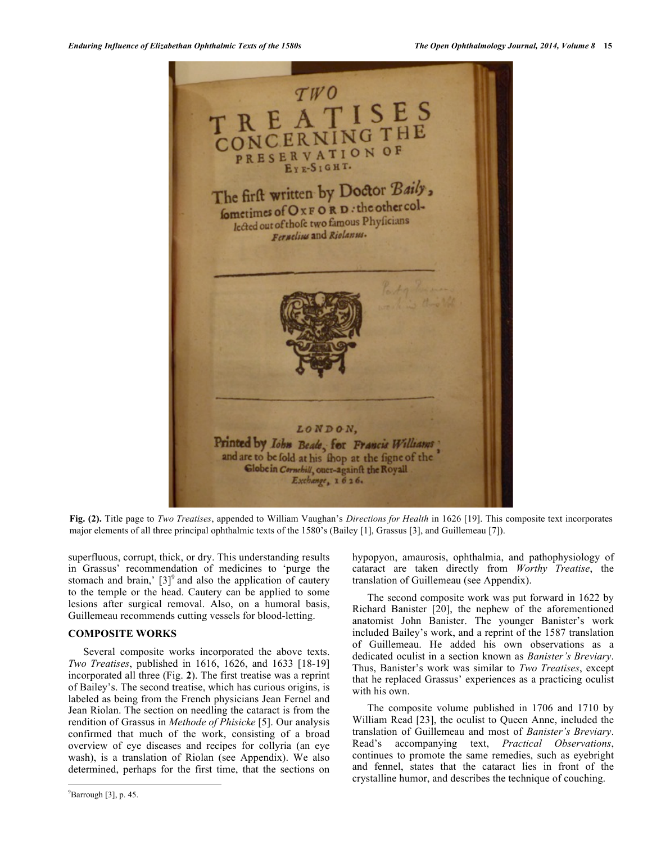

**Fig. (2).** Title page to *Two Treatises*, appended to William Vaughan's *Directions for Health* in 1626 [19]. This composite text incorporates major elements of all three principal ophthalmic texts of the 1580's (Bailey [1], Grassus [3], and Guillemeau [7]).

superfluous, corrupt, thick, or dry. This understanding results in Grassus' recommendation of medicines to 'purge the stomach and brain,'  $[3]$ <sup>9</sup> and also the application of cautery to the temple or the head. Cautery can be applied to some lesions after surgical removal. Also, on a humoral basis, Guillemeau recommends cutting vessels for blood-letting.

# **COMPOSITE WORKS**

Several composite works incorporated the above texts. *Two Treatises*, published in 1616, 1626, and 1633 [18-19] incorporated all three (Fig. **2**). The first treatise was a reprint of Bailey's. The second treatise, which has curious origins, is labeled as being from the French physicians Jean Fernel and Jean Riolan. The section on needling the cataract is from the rendition of Grassus in *Methode of Phisicke* [5]. Our analysis confirmed that much of the work, consisting of a broad overview of eye diseases and recipes for collyria (an eye wash), is a translation of Riolan (see Appendix). We also determined, perhaps for the first time, that the sections on hypopyon, amaurosis, ophthalmia, and pathophysiology of cataract are taken directly from *Worthy Treatise*, the translation of Guillemeau (see Appendix).

The second composite work was put forward in 1622 by Richard Banister [20], the nephew of the aforementioned anatomist John Banister. The younger Banister's work included Bailey's work, and a reprint of the 1587 translation of Guillemeau. He added his own observations as a dedicated oculist in a section known as *Banister's Breviary*. Thus, Banister's work was similar to *Two Treatises*, except that he replaced Grassus' experiences as a practicing oculist with his own.

The composite volume published in 1706 and 1710 by William Read [23], the oculist to Queen Anne, included the translation of Guillemeau and most of *Banister's Breviary*. Read's accompanying text, *Practical Observations*, continues to promote the same remedies, such as eyebright and fennel, states that the cataract lies in front of the crystalline humor, and describes the technique of couching.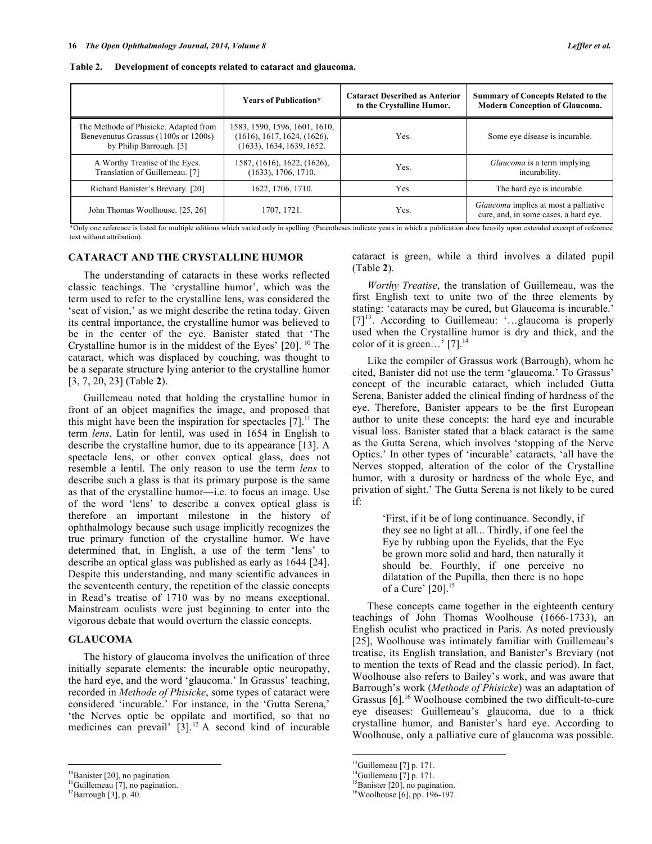| Table 2. Development of concepts related to cataract and glaucoma. |  |  |  |  |
|--------------------------------------------------------------------|--|--|--|--|
|                                                                    |  |  |  |  |

|                                                                                                          | <b>Years of Publication*</b>                                                              | <b>Cataract Described as Anterior</b><br>to the Crystalline Humor. | <b>Summary of Concepts Related to the</b><br><b>Modern Conception of Glaucoma.</b> |
|----------------------------------------------------------------------------------------------------------|-------------------------------------------------------------------------------------------|--------------------------------------------------------------------|------------------------------------------------------------------------------------|
| The Methode of Phisicke. Adapted from<br>Benevenutus Grassus (1100s or 1200s)<br>by Philip Barrough. [3] | 1583, 1590, 1596, 1601, 1610,<br>(1616), 1617, 1624, (1626),<br>(1633), 1634, 1639, 1652. | Yes.                                                               | Some eye disease is incurable.                                                     |
| A Worthy Treatise of the Eyes.<br>Translation of Guillemeau. [7]                                         | 1587, (1616), 1622, (1626),<br>(1633), 1706, 1710.                                        | Yes.                                                               | Glaucoma is a term implying<br>incurability.                                       |
| Richard Banister's Breviary. [20]                                                                        | 1622, 1706, 1710.                                                                         | Yes.                                                               | The hard eye is incurable.                                                         |
| John Thomas Woolhouse. [25, 26]                                                                          | 1707, 1721.                                                                               | Yes.                                                               | Glaucoma implies at most a palliative<br>cure, and, in some cases, a hard eye.     |

\*Only one reference is listed for multiple editions which varied only in spelling. (Parentheses indicate years in which a publication drew heavily upon extended excerpt of reference text without attribution).

# **CATARACT AND THE CRYSTALLINE HUMOR**

The understanding of cataracts in these works reflected classic teachings. The 'crystalline humor', which was the term used to refer to the crystalline lens, was considered the 'seat of vision,' as we might describe the retina today. Given its central importance, the crystalline humor was believed to be in the center of the eye. Banister stated that 'The Crystalline humor is in the middest of the Eyes' [20]. <sup>10</sup> The cataract, which was displaced by couching, was thought to be a separate structure lying anterior to the crystalline humor [3, 7, 20, 23] (Table **2**).

Guillemeau noted that holding the crystalline humor in front of an object magnifies the image, and proposed that this might have been the inspiration for spectacles  $[7]$ .<sup>11</sup> The term *lens*, Latin for lentil, was used in 1654 in English to describe the crystalline humor, due to its appearance [13]. A spectacle lens, or other convex optical glass, does not resemble a lentil. The only reason to use the term *lens* to describe such a glass is that its primary purpose is the same as that of the crystalline humor—i.e. to focus an image. Use of the word 'lens' to describe a convex optical glass is therefore an important milestone in the history of ophthalmology because such usage implicitly recognizes the true primary function of the crystalline humor. We have determined that, in English, a use of the term 'lens' to describe an optical glass was published as early as 1644 [24]. Despite this understanding, and many scientific advances in the seventeenth century, the repetition of the classic concepts in Read's treatise of 1710 was by no means exceptional. Mainstream oculists were just beginning to enter into the vigorous debate that would overturn the classic concepts.

### **GLAUCOMA**

The history of glaucoma involves the unification of three initially separate elements: the incurable optic neuropathy, the hard eye, and the word 'glaucoma.' In Grassus' teaching, recorded in *Methode of Phisicke*, some types of cataract were considered 'incurable.' For instance, in the 'Gutta Serena,' 'the Nerves optic be oppilate and mortified, so that no medicines can prevail'  $[3]$ .<sup>12</sup> A second kind of incurable cataract is green, while a third involves a dilated pupil (Table **2**).

*Worthy Treatise*, the translation of Guillemeau, was the first English text to unite two of the three elements by stating: 'cataracts may be cured, but Glaucoma is incurable.'  $[7]^{13}$ . According to Guillemeau: '...glaucoma is properly used when the Crystalline humor is dry and thick, and the color of it is green...' [7]. $^{14}$ 

Like the compiler of Grassus work (Barrough), whom he cited, Banister did not use the term 'glaucoma.' To Grassus' concept of the incurable cataract, which included Gutta Serena, Banister added the clinical finding of hardness of the eye. Therefore, Banister appears to be the first European author to unite these concepts: the hard eye and incurable visual loss. Banister stated that a black cataract is the same as the Gutta Serena, which involves 'stopping of the Nerve Optics.' In other types of 'incurable' cataracts, 'all have the Nerves stopped, alteration of the color of the Crystalline humor, with a durosity or hardness of the whole Eye, and privation of sight.' The Gutta Serena is not likely to be cured if:

> 'First, if it be of long continuance. Secondly, if they see no light at all... Thirdly, if one feel the Eye by rubbing upon the Eyelids, that the Eye be grown more solid and hard, then naturally it should be. Fourthly, if one perceive no dilatation of the Pupilla, then there is no hope of a Cure' [20]. 15

These concepts came together in the eighteenth century teachings of John Thomas Woolhouse (1666-1733), an English oculist who practiced in Paris. As noted previously [25], Woolhouse was intimately familiar with Guillemeau's treatise, its English translation, and Banister's Breviary (not to mention the texts of Read and the classic period). In fact, Woolhouse also refers to Bailey's work, and was aware that Barrough's work (*Methode of Phisicke*) was an adaptation of Grassus [6].<sup>16</sup> Woolhouse combined the two difficult-to-cure eye diseases: Guillemeau's glaucoma, due to a thick crystalline humor, and Banister's hard eye. According to Woolhouse, only a palliative cure of glaucoma was possible.

<sup>&</sup>lt;sup>10</sup>Banister [20], no pagination.

<sup>&</sup>lt;sup>11</sup>Guillemeau [7], no pagination.

 $12$ Barrough [3], p. 40.

 $13$ Guillemeau [7] p. 171.

 $14$ Guillemeau [7] p. 171.

<sup>&</sup>lt;sup>15</sup>Banister [20], no pagination.

<sup>16</sup>Woolhouse [6], pp. 196-197.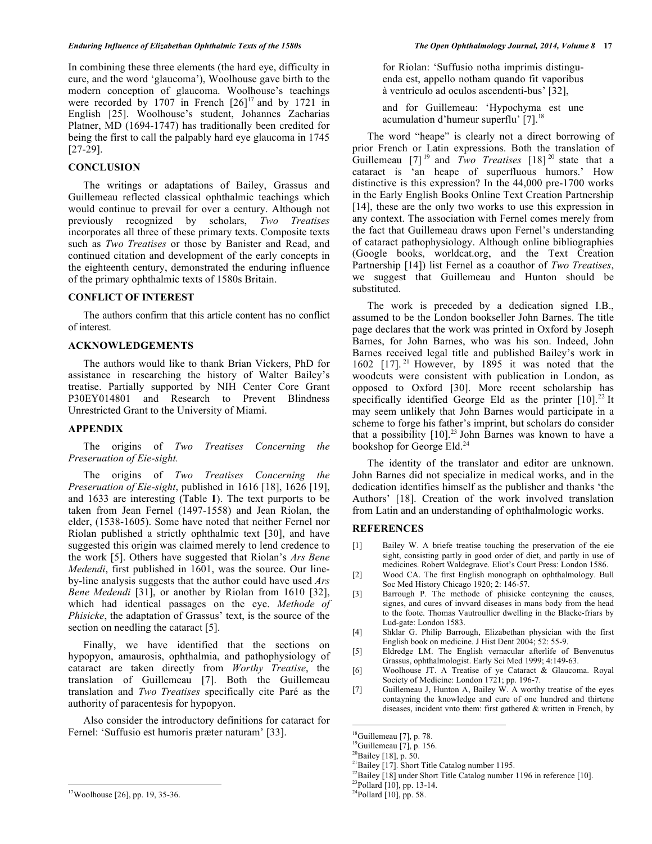In combining these three elements (the hard eye, difficulty in cure, and the word 'glaucoma'), Woolhouse gave birth to the modern conception of glaucoma. Woolhouse's teachings were recorded by 1707 in French  $[26]^{17}$  and by 1721 in English [25]. Woolhouse's student, Johannes Zacharias Platner, MD (1694-1747) has traditionally been credited for being the first to call the palpably hard eye glaucoma in 1745 [27-29].

# **CONCLUSION**

The writings or adaptations of Bailey, Grassus and Guillemeau reflected classical ophthalmic teachings which would continue to prevail for over a century. Although not previously recognized by scholars, *Two Treatises* incorporates all three of these primary texts. Composite texts such as *Two Treatises* or those by Banister and Read, and continued citation and development of the early concepts in the eighteenth century, demonstrated the enduring influence of the primary ophthalmic texts of 1580s Britain.

# **CONFLICT OF INTEREST**

The authors confirm that this article content has no conflict of interest.

# **ACKNOWLEDGEMENTS**

The authors would like to thank Brian Vickers, PhD for assistance in researching the history of Walter Bailey's treatise. Partially supported by NIH Center Core Grant P30EY014801 and Research to Prevent Blindness Unrestricted Grant to the University of Miami.

### **APPENDIX**

The origins of *Two Treatises Concerning the Preseruation of Eie-sight.*

The origins of *Two Treatises Concerning the Preseruation of Eie-sight*, published in 1616 [18], 1626 [19], and 1633 are interesting (Table **1**). The text purports to be taken from Jean Fernel (1497-1558) and Jean Riolan, the elder, (1538-1605). Some have noted that neither Fernel nor Riolan published a strictly ophthalmic text [30], and have suggested this origin was claimed merely to lend credence to the work [5]. Others have suggested that Riolan's *Ars Bene Medendi*, first published in 1601, was the source. Our lineby-line analysis suggests that the author could have used *Ars Bene Medendi* [31], or another by Riolan from 1610 [32], which had identical passages on the eye. *Methode of Phisicke*, the adaptation of Grassus' text, is the source of the section on needling the cataract [5].

Finally, we have identified that the sections on hypopyon, amaurosis, ophthalmia, and pathophysiology of cataract are taken directly from *Worthy Treatise*, the translation of Guillemeau [7]. Both the Guillemeau translation and *Two Treatises* specifically cite Paré as the authority of paracentesis for hypopyon.

Also consider the introductory definitions for cataract for Fernel: 'Suffusio est humoris præter naturam' [33].

for Riolan: 'Suffusio notha imprimis distinguenda est, appello notham quando fit vaporibus à ventriculo ad oculos ascendenti-bus' [32],

and for Guillemeau: 'Hypochyma est une acumulation d'humeur superflu' [7].<sup>18</sup>

The word "heape" is clearly not a direct borrowing of prior French or Latin expressions. Both the translation of Guillemeau [7] <sup>19</sup> and *Two Treatises* [18] <sup>20</sup> state that a cataract is 'an heape of superfluous humors.' How distinctive is this expression? In the 44,000 pre-1700 works in the Early English Books Online Text Creation Partnership [14], these are the only two works to use this expression in any context. The association with Fernel comes merely from the fact that Guillemeau draws upon Fernel's understanding of cataract pathophysiology. Although online bibliographies (Google books, worldcat.org, and the Text Creation Partnership [14]) list Fernel as a coauthor of *Two Treatises*, we suggest that Guillemeau and Hunton should be substituted.

The work is preceded by a dedication signed I.B., assumed to be the London bookseller John Barnes. The title page declares that the work was printed in Oxford by Joseph Barnes, for John Barnes, who was his son. Indeed, John Barnes received legal title and published Bailey's work in 1602  $[17]$ .<sup>21</sup> However, by 1895 it was noted that the woodcuts were consistent with publication in London, as opposed to Oxford [30]. More recent scholarship has specifically identified George Eld as the printer  $[10]$ .<sup>22</sup> It may seem unlikely that John Barnes would participate in a scheme to forge his father's imprint, but scholars do consider that a possibility  $[10]$ <sup>23</sup> John Barnes was known to have a bookshop for George Eld.<sup>24</sup>

The identity of the translator and editor are unknown. John Barnes did not specialize in medical works, and in the dedication identifies himself as the publisher and thanks 'the Authors' [18]. Creation of the work involved translation from Latin and an understanding of ophthalmologic works.

# **REFERENCES**

- [1] Bailey W. A briefe treatise touching the preservation of the eie sight, consisting partly in good order of diet, and partly in use of medicines. Robert Waldegrave. Eliot's Court Press: London 1586.
- [2] Wood CA. The first English monograph on ophthalmology. Bull Soc Med History Chicago 1920; 2: 146-57.
- [3] Barrough P. The methode of phisicke conteyning the causes, signes, and cures of invvard diseases in mans body from the head to the foote. Thomas Vautroullier dwelling in the Blacke-friars by Lud-gate: London 1583.
- [4] Shklar G. Philip Barrough, Elizabethan physician with the first English book on medicine. J Hist Dent 2004; 52: 55-9.
- [5] Eldredge LM. The English vernacular afterlife of Benvenutus Grassus, ophthalmologist. Early Sci Med 1999; 4:149-63.
- [6] Woolhouse JT. A Treatise of ye Cataract & Glaucoma. Royal Society of Medicine: London 1721; pp. 196-7.
- [7] Guillemeau J, Hunton A, Bailey W. A worthy treatise of the eyes contayning the knowledge and cure of one hundred and thirtene diseases, incident vnto them: first gathered & written in French, by

17Woolhouse [26], pp. 19, 35-36.

<sup>&</sup>lt;sup>18</sup>Guillemeau [7], p. 78.

 $19$ Guillemeau [7], p. 156.

<sup>20</sup>Bailey [18], p. 50.

<sup>&</sup>lt;sup>21</sup>Bailey [17]. Short Title Catalog number 1195.

 $^{22}$ Bailey [18] under Short Title Catalog number 1196 in reference [10].

<sup>23</sup>Pollard [10], pp. 13-14.

 $24$ Pollard [10], pp. 58.